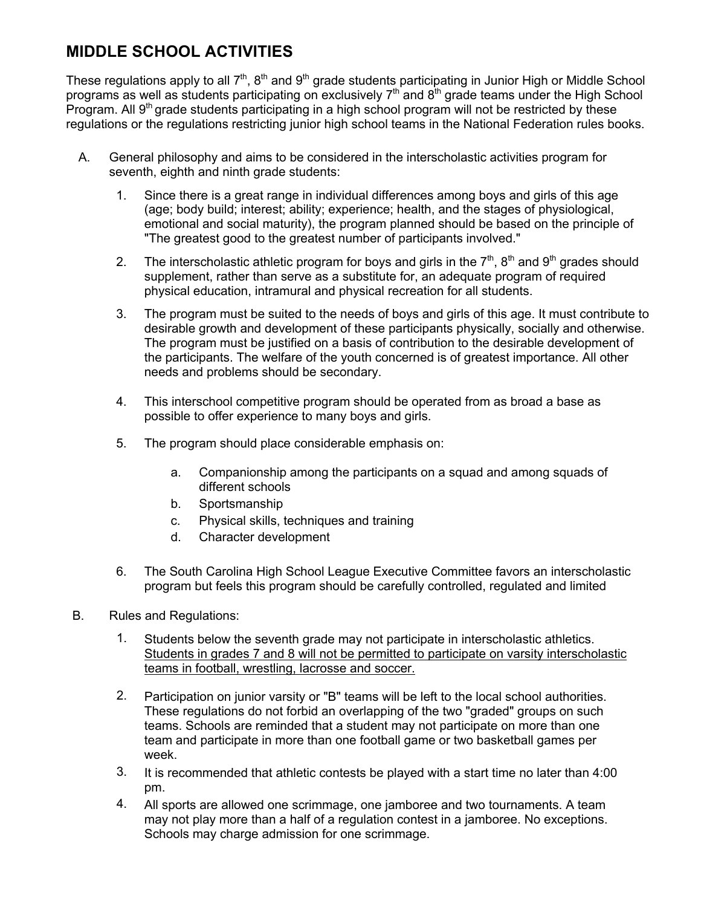# **MIDDLE SCHOOL ACTIVITIES**

These regulations apply to all 7<sup>th</sup>, 8<sup>th</sup> and 9<sup>th</sup> grade students participating in Junior High or Middle School programs as well as students participating on exclusively  $7<sup>th</sup>$  and  $8<sup>th</sup>$  grade teams under the High School Program. All 9<sup>th</sup> grade students participating in a high school program will not be restricted by these regulations or the regulations restricting junior high school teams in the National Federation rules books.

- A. General philosophy and aims to be considered in the interscholastic activities program for seventh, eighth and ninth grade students:
	- 1. Since there is a great range in individual differences among boys and girls of this age (age; body build; interest; ability; experience; health, and the stages of physiological, emotional and social maturity), the program planned should be based on the principle of "The greatest good to the greatest number of participants involved."
	- 2. The interscholastic athletic program for boys and girls in the  $7<sup>th</sup>$ ,  $8<sup>th</sup>$  and  $9<sup>th</sup>$  grades should supplement, rather than serve as a substitute for, an adequate program of required physical education, intramural and physical recreation for all students.
	- 3. The program must be suited to the needs of boys and girls of this age. It must contribute to desirable growth and development of these participants physically, socially and otherwise. The program must be justified on a basis of contribution to the desirable development of the participants. The welfare of the youth concerned is of greatest importance. All other needs and problems should be secondary.
	- 4. This interschool competitive program should be operated from as broad a base as possible to offer experience to many boys and girls.
	- 5. The program should place considerable emphasis on:
		- a. Companionship among the participants on a squad and among squads of different schools
		- b. Sportsmanship
		- c. Physical skills, techniques and training
		- d. Character development
	- 6. The South Carolina High School League Executive Committee favors an interscholastic program but feels this program should be carefully controlled, regulated and limited
- B. Rules and Regulations:
	- 1. Students below the seventh grade may not participate in interscholastic athletics. Students in grades 7 and 8 will not be permitted to participate on varsity interscholastic teams in football, wrestling, lacrosse and soccer.
	- 2. Participation on junior varsity or "B" teams will be left to the local school authorities. These regulations do not forbid an overlapping of the two "graded" groups on such teams. Schools are reminded that a student may not participate on more than one team and participate in more than one football game or two basketball games per week.
	- 3. It is recommended that athletic contests be played with a start time no later than 4:00 pm.
	- 4. All sports are allowed one scrimmage, one jamboree and two tournaments. A team may not play more than a half of a regulation contest in a jamboree. No exceptions. Schools may charge admission for one scrimmage.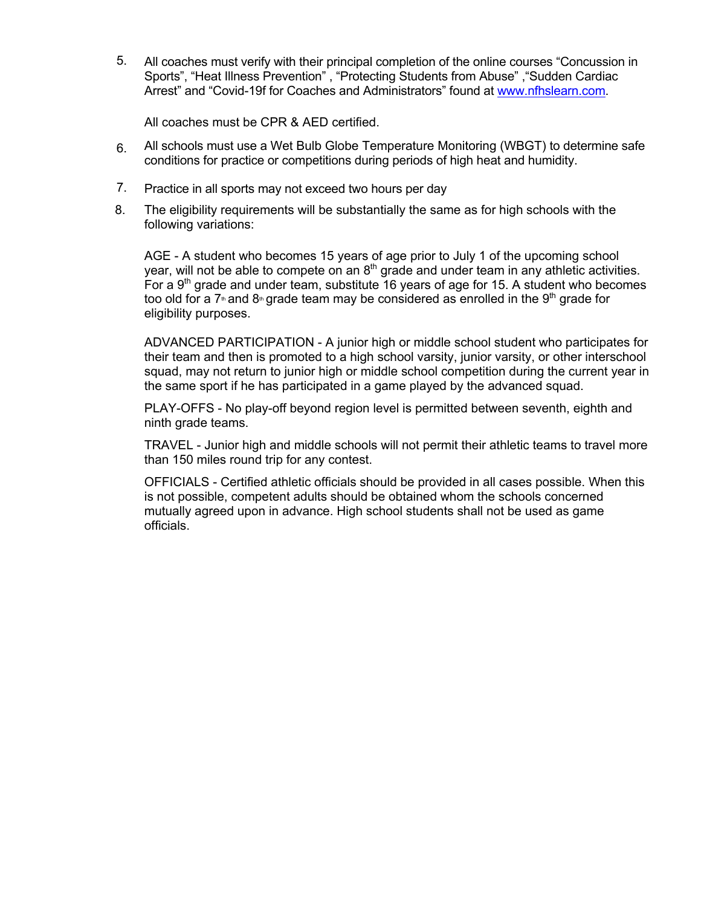5. All coaches must verify with their principal completion of the online courses "Concussion in Sports", "Heat Illness Prevention" , "Protecting Students from Abuse" ,"Sudden Cardiac Arrest" and "Covid-19f for Coaches and Administrators" found at www.nfhslearn.com.

All coaches must be CPR & AED certified.

- 6. All schools must use a Wet Bulb Globe Temperature Monitoring (WBGT) to determine safe conditions for practice or competitions during periods of high heat and humidity.
- 7. Practice in all sports may not exceed two hours per day
- 8. The eligibility requirements will be substantially the same as for high schools with the following variations:

AGE - A student who becomes 15 years of age prior to July 1 of the upcoming school year, will not be able to compete on an  $8<sup>th</sup>$  grade and under team in any athletic activities. For a  $9<sup>th</sup>$  grade and under team, substitute 16 years of age for 15. A student who becomes too old for a 7<sup>th</sup> and 8<sup>th</sup> grade team may be considered as enrolled in the 9<sup>th</sup> grade for eligibility purposes.

ADVANCED PARTICIPATION - A junior high or middle school student who participates for their team and then is promoted to a high school varsity, junior varsity, or other interschool squad, may not return to junior high or middle school competition during the current year in the same sport if he has participated in a game played by the advanced squad.

PLAY-OFFS - No play-off beyond region level is permitted between seventh, eighth and ninth grade teams.

TRAVEL - Junior high and middle schools will not permit their athletic teams to travel more than 150 miles round trip for any contest.

OFFICIALS - Certified athletic officials should be provided in all cases possible. When this is not possible, competent adults should be obtained whom the schools concerned mutually agreed upon in advance. High school students shall not be used as game officials.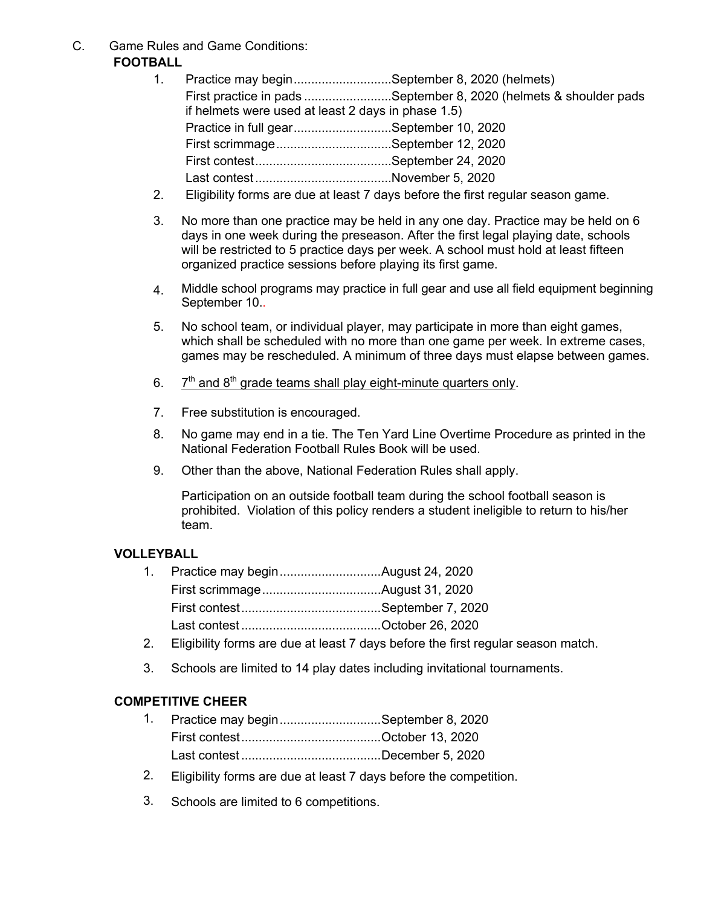C. Game Rules and Game Conditions: **FOOTBALL**

|                                                    | 1. Practice may beginSeptember 8, 2020 (helmets)                  |
|----------------------------------------------------|-------------------------------------------------------------------|
|                                                    | First practice in pads September 8, 2020 (helmets & shoulder pads |
| if helmets were used at least 2 days in phase 1.5) |                                                                   |
| Practice in full gearSeptember 10, 2020            |                                                                   |
|                                                    |                                                                   |
|                                                    |                                                                   |
|                                                    |                                                                   |
|                                                    |                                                                   |

- 2. Eligibility forms are due at least 7 days before the first regular season game.
- 3. No more than one practice may be held in any one day. Practice may be held on 6 days in one week during the preseason. After the first legal playing date, schools will be restricted to 5 practice days per week. A school must hold at least fifteen organized practice sessions before playing its first game.
- 4. Middle school programs may practice in full gear and use all field equipment beginning September 10..
- 5. No school team, or individual player, may participate in more than eight games, which shall be scheduled with no more than one game per week. In extreme cases, games may be rescheduled. A minimum of three days must elapse between games.
- 6.  $7<sup>th</sup>$  and 8<sup>th</sup> grade teams shall play eight-minute quarters only.
- 7. Free substitution is encouraged.
- 8. No game may end in a tie. The Ten Yard Line Overtime Procedure as printed in the National Federation Football Rules Book will be used.
- 9. Other than the above, National Federation Rules shall apply.

Participation on an outside football team during the school football season is prohibited. Violation of this policy renders a student ineligible to return to his/her team.

#### **VOLLEYBALL**

| $\sim$ |  |  |  |
|--------|--|--|--|

- 2. Eligibility forms are due at least 7 days before the first regular season match.
- 3. Schools are limited to 14 play dates including invitational tournaments.

#### **COMPETITIVE CHEER**

- 1. Practice may begin.............................September 8, 2020 First contest........................................October 13, 2020 Last contest ........................................December 5, 2020
- 2. Eligibility forms are due at least 7 days before the competition.
- 3. Schools are limited to 6 competitions.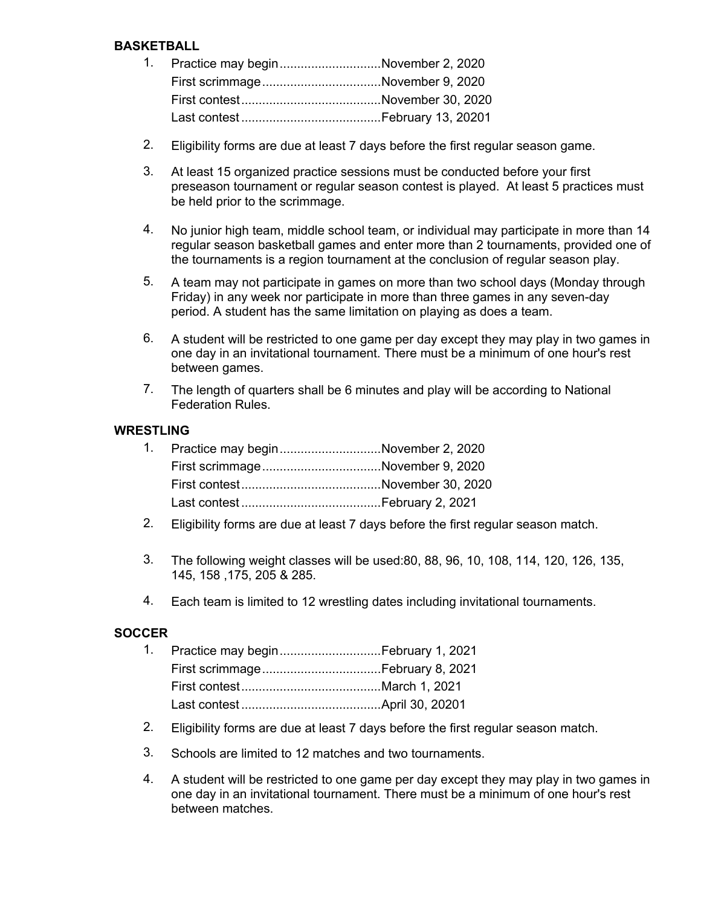### **BASKETBALL**

| 1. Practice may beginNovember 2, 2020 |  |
|---------------------------------------|--|
| First scrimmageNovember 9, 2020       |  |
|                                       |  |
|                                       |  |

- 2. Eligibility forms are due at least 7 days before the first regular season game.
- 3. At least 15 organized practice sessions must be conducted before your first preseason tournament or regular season contest is played. At least 5 practices must be held prior to the scrimmage.
- 4. No junior high team, middle school team, or individual may participate in more than 14 regular season basketball games and enter more than 2 tournaments, provided one of the tournaments is a region tournament at the conclusion of regular season play.
- 5. A team may not participate in games on more than two school days (Monday through Friday) in any week nor participate in more than three games in any seven-day period. A student has the same limitation on playing as does a team.
- 6. A student will be restricted to one game per day except they may play in two games in one day in an invitational tournament. There must be a minimum of one hour's rest between games.
- 7. The length of quarters shall be 6 minutes and play will be according to National Federation Rules.

#### **WRESTLING**

| 1. Practice may beginNovember 2, 2020 |  |
|---------------------------------------|--|
| First scrimmageNovember 9, 2020       |  |
|                                       |  |
|                                       |  |
|                                       |  |

- 2. Eligibility forms are due at least 7 days before the first regular season match.
- 3. The following weight classes will be used:80, 88, 96, 10, 108, 114, 120, 126, 135, 145, 158 ,175, 205 & 285.
- 4. Each team is limited to 12 wrestling dates including invitational tournaments.

#### **SOCCER**

| 1. Practice may beginFebruary 1, 2021 |
|---------------------------------------|
|                                       |
|                                       |
|                                       |
|                                       |

- 2. Eligibility forms are due at least 7 days before the first regular season match.
- 3. Schools are limited to 12 matches and two tournaments.
- 4. A student will be restricted to one game per day except they may play in two games in one day in an invitational tournament. There must be a minimum of one hour's rest between matches.